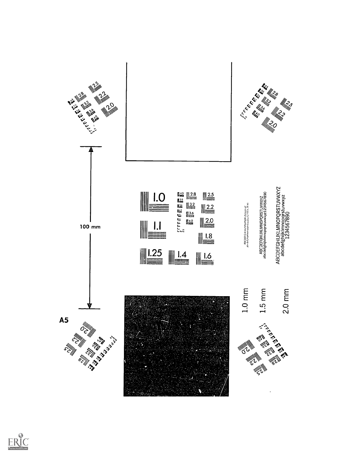

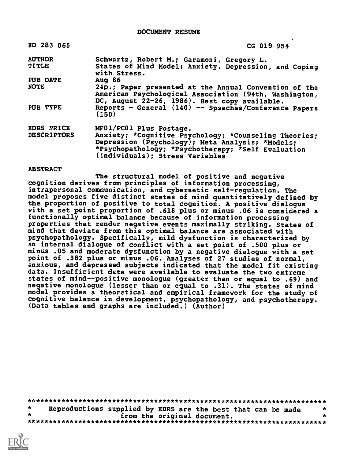DOCUMENT RESUME

| ED 283 065         | CG 019 954                                                                                                                                                                                         |
|--------------------|----------------------------------------------------------------------------------------------------------------------------------------------------------------------------------------------------|
| <b>AUTHOR</b>      | Schwartz, Robert M.; Garamoni, Gregory L.                                                                                                                                                          |
| <b>TITLE</b>       | States of Mind Model: Anxiety, Depression, and Coping<br>with Stress.                                                                                                                              |
| PUB DATE           | Aug $86$                                                                                                                                                                                           |
| <b>NOTE</b>        | 24p.; Paper presented at the Annual Convention of the<br>American Psychological Association (94th, Washington,<br>DC, August 22-26, 1986). Best copy available.                                    |
| PUB TYPE           | Reports - General (140) -- Speeches/Conference Papers<br>(150)                                                                                                                                     |
| EDRS PRICE         | MF01/PC01 Plus Postage.                                                                                                                                                                            |
| <b>DESCRIPTORS</b> | Anxiety; *Cognitive Psychology; *Counseling Theories;<br>Depression (Psychology); Meta Analysis; *Models;<br>*Psychopathology; *Psychotherapy; *Self Evaluation<br>(Individuals); Stress Variables |

#### ABSTRACT

The structural model of positive and negative cognition derives from principles of information processing, intrapersonal comnunication, and cybernetic self-regulation. The model proposes five distinct states of mind quantitatively defined by the proportion of positive to total cognition. A positive dialogue with a set point proportion of .618 plus or minus .06 is considered a functionally optimal balance because of information processing properties that render negative events maximally striking. States of mind that deviate from this optimal balance are associated with psychopathology. Specifically, mild dysfunction is characterized by an internal dialogue of conflict with a set point of .500 plus or minus .05 and moderate dysfunction by a negative dialogue with a set point of .382 plus or minus .06. Analyses of 27 studies of normal, anxious, and depressed subjects indicated that the model fit existing data. Insufficient data were available to evaluate the two extreme states of mind--positive monologue (greater than or equal to .69) and negative monologue (lesser than or equal to .31). The states of mind model provides a theoretical and empirical framework for the study of cognitive balance in development, psychopathology, and psychotherapy. (Data tables and graphs are included.) (Author)

\*\*\*\*\*\*\*\*\*\*\*\*\*\*\*\*\*\*\*\*\*\*\*\*\*\*\*\*\*\*\*\*\*\*\*\*\*\*\*\*\*\*\*\*\*\*\*\*\*\*\*\*\*\*\*\*\*\*\*\*\*\*\*\*\*\*\*\*\*\*\*  $\star$ Reproductions supplied by EDRS are the best that can be made from the original document. \*\*\*\*\*\*\*\*\*\*\*\*\*\*\*\*\*\*\*\*\*\*\*\*\*\*\*\*\*\*\*\*\*\*\*\*\*\*\*\*\*\*\*\*\*\*\*\*\*\*\*\*\*\*\*\*\*\*\*\*\*\*\*\*\*\*\*\*\*\*\*

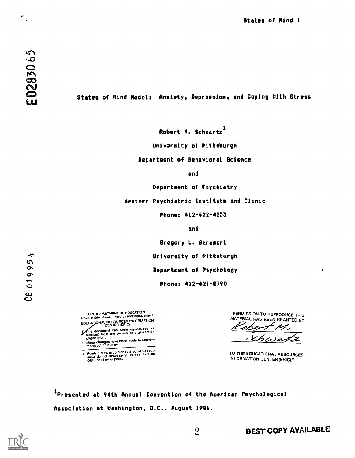V.

 $\mathbf{v}$ e-i  $\bullet$ CD and the contract of the contract of the contract of the contract of the contract of the contract of the con

 $\blacktriangledown$ 

States of Rind Nadel: Anxiety, Depression, and Coping With Stress

Robert R. Schwartz

University of Pittsburgh

Department of Behavioral Science

and

Department of Psychiatry

Western Psychiatric Institute and Clinic

Phone: 412-422-4553

and

Gregory L. Geramoni

University of Pittsburgh

Departsent of Psychology

Phone: 412-421-8790

U.S. DEPARTMENT OF EDUCATION<br>Office of Educational Research and Improvement EDUCATIONAL RESOURCES INFORMATION

It is document has been reproduced as<br>received from the person or organization<br>originating it.

Changes have been made to improve<br>reproduction quality.

<del>Coints ol view or opinions stated in this docu-</del><br>ment do not necessarily represent official<br>OERI position or policy.

"PERMISSION TO REPRODUCE THIS MATERIAL HAS BEEN GRANTED BY  $\mathbf{r}$ 

TO THE EDUCATIONAL RESOURCES INFORMATION CENTER (ERIC)."

<sup>I</sup> Presented at 94th Annual Convention of the American Psychological Association at Washington, D.C., August 1996.



BEST COPY AVAILABLE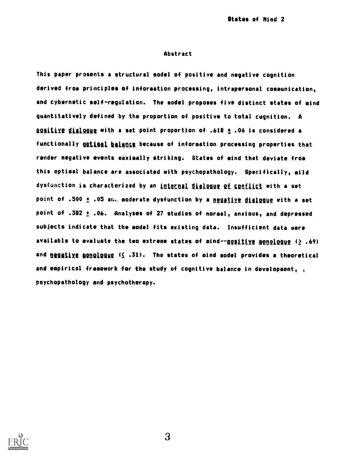#### Abstract

This paper presents a structural model of positive and negative cognition derived from principles of information processing, intrapersonal communication, and cybernetic self-regulation. The model proposes five distinct states of mind quantitatively defined by the proportion of positive to total cognition. A ROSILIYE dialogue with a set point proportion of .618  $\pm$  .06 is considered a functionally gatiaal balance because of information processing properties that render negative events saximally striking. States of mind that deviate from this optimal balance are associated with psychopathology. Specifically, mild dysfunction is characterized by an internal Wialpaue of conflict with a set point of .500  $\pm$  .05 an. moderate dysfunction by a negative dialogue with a set point of  $.382 \pm .06$ . Analyses of 27 studies of normal, anxious, and depressed subjects indicate that the model fits existing data. Insufficient data were available to evaluate the two extreme states of mind--positive appologue ( $\geq$  .69) and negative monologue  $($  .31). The states of mind model provides a theoretical and empirical framework for the study of cognitive balance in development, , psychopathology and psychotherapy.

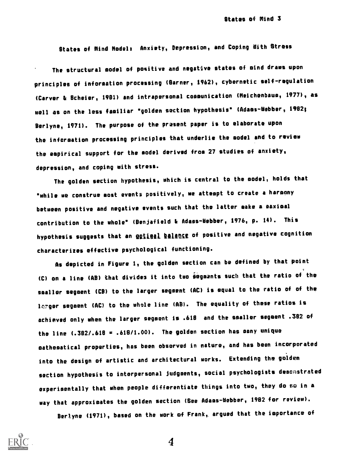States of Mind Models Anxiety, Depression, and Coping dith Stress

The structural odel of positive and negative states of oind draws upon principles of information processing (Garner, 1962), cybernetic self-regulation (Carver & Scheier, 1981) and intrapersonal communication (Meichenbaum, 1977), as well as on the less familiar °golden section hypothesis° (Adams-debber, 1982; Berlyne, 1971). The purpose of the prasent paper is to elaborate upon the information processing principles that underlie the model and to review the empirical support for the model derived from 27 studies of anxiety, depression, and coping with stress.

The golden section hypothesis, which is central to the model, holds that °while ue construe most events positively, we atteapt to create a harmony between positive and negative events such that the latter make a maximal contribution to the whole" (Benjafield & Adams-Webber, 1976, p. 14). This hypothesis suggests that an **@ptigal balance** of positive and negative cognition characterizes effective psychological functioning.

As depicted in Figure 1, the golden section can be defined by that point (C) on a line (AB) that divides it into two segaents such that the ratio of the smaller segment (CB) to the larger segment (AC) is equal to the ratio of of the larger segment (AC) to the whole line (AB). The equality of these ratios is achieved only when the larger segment is .618 and the smaller segment .382 of the line (.382/.618 = .618/1.00). The golden section has eany unique mathematical properties, has been observed in nature, and has been incorporated into the design of artistic and architectural works. Extending the golden section hypothesis to interpersonal judgeents, social psychologists deacnstrated experimentally that when people differentiate things into two, they do BO in a way that approximates the golden section (See Adams-debber, 1982 for review).

Berlyne (1971), based on the work of Frank, argued that the importance of

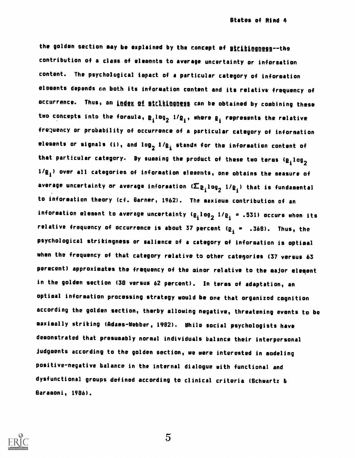the golden section may be explained by the concept of Bicikingnegg--the contribution of a class of elements to average uncertainty or information content. The psychological impact of a particular category of information elements depends on both its information content and its relative frequency of occurrence. Thus, an index of stritingness can be obtained by combining these two concepts into the formula,  $R_i \log_2 1/Q_i$ , where  $R_i$  represents the relative frequency or probability of occurrence of a particular category of information eleeents or signals (i), and log<sub>2</sub> 1/g<sub>i</sub> stands for the information content of that particular category. By summing the product of these two terms  $(\rho_i \log_2$  $1/\rho_i$ ) over all categories of information elements, one obtains the measure of average uncertainty or average information  $(\Sigma_{R_i}$ log<sub>2</sub> 1/ $_{R_i}$ ) that is fundamental to information theory (cf. Barner, 1962). The maximum contribution of an information element to average uncertainty ( $\mathbf{g_i}$ log<sub>2</sub> 1/ $\mathbf{g_i}$  = .531) occurs when its relative frequency of occurrence is about 37 percent ( $\rho_i$  = .368). Thus, the psychological strikingness or salience of a category of information is optimal when the frequency of that category relative to other categories (37 versus 63 perecent) approximates the frequency of the minor relative to the major element in the golden section (38 versus 62 percent). In terms of adaptation, an optimal information processing strategy would be one that organized cognition according the golden section, therby allouing negative, threatening events to be maximally striking (Adams-Webber, 1982). Inile social psychologists have demonstrated that presumably normal individuals balance their interpersonal judgeents according to the golden section, we were interested in modeling positive-negative balance in the internal dialogue pith functional and dysfunctional groups defined according to clinical criteria (Schwartz & 8aramoni, 1986).

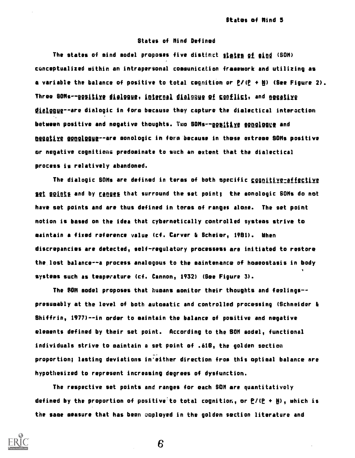#### States of Nind Defined

The states of mind model proposes five distinct sigtes of mind (SOM) conceptualized within an intrapersonal communication framework and utilizing as a variable the balance of positive to total cognition or  $P/(P + M)$  (See Figure 2). Three SOMs--agaitive dialogue, internal dialogue of conflict, and necative figIgggg--are dialogic in form because they capture the dialectical interaction between positive and negative thoughts. Two SOMs--positive agaalogge and negative agnologue--are monologic in form because in these extreme SOMs positive or negative cognitions predosinate to such an extent that the dialectical process is relatively abandoned.

The dialogic SOMs are defined in terms of both specific cognitive-affective set points and by ranges that surround the set point; the aonologic SONs do not have set points and are thus defined in teres of ranges alone. The set point notion is based on the idea that cybernetically controlled systems strive to maintain a fixed reference value (cf. Carver & Scheier, 1981). when discrepancies are detected, self-regulatory processess are initiated to restore the lost balance--a process analogous to the maintenance of homeostasis in body  $\mathbf{1}$ systems such as temperature (cf. Cannon, 1932) (See Figure 3).

The SON model proposes that humans monitor their thoughts and feelings- presumably at the level of both automatic and controlled processing (Schneider & Shiffrin, 1977)--in order to maintain the balance of positive and negative elements defined by their set point. According to the SON model, functional individuals strive to maintain a set point of .618, the golden section proportion; lasting deviations in'either direction from this optimal balance are hypothesized to represent increasing degrees of dysfunction.

The respective set points and ranges for each SON are quantitatively defined by the proportion of positive to total cognition, or  $P/(P + M)$ , which is the same measure that has been coployed in the golden section literature and

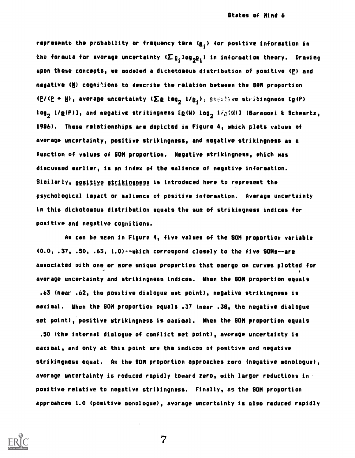represents the probability or frequency term  $(g_i)$  for positive information in the formula for average uncertainty  $(\sum_{i=1}^n log_{2}p_i)$  in information theory. Drawing upon these concepts, we aodeled a dichotomous distribution of positive (P) and negative  $(\frac{N}{2})$  cognitions to describe the relation between the SON proportion (P/(P + H), average uncertainty ( $\Sigma$ g log<sub>2</sub> 1/g<sub>1</sub>),  $\mathbb{P}^{p \leq 1 \leq k \leq 1}$  ve strikingness (g(P) log<sub>2</sub> 1/@{P)], and negative strikingness [@{N} log<sub>2</sub> 1/@{#}] (Baramoni & Schwartz, 1986). These relationships are depicted in Figure 4, which plots values of average uncertainty, positive strikingness, and negative strikingness as a function of values of SON proportion. Negative strikingness, which was discussed earlier, is an index of the salience of negative information. Similarly, positive strikingness is introduced here to represent the psychological impact or salience of positive information. Average uncertainty in this dichotomous distribution equals the sum of strikingness indices for positive and negative cognitions.

As can be seen in Figure 4, five values of the SON proportion variable (0.0, .37, .50, .63, 1.0)--which correspond closely to the five SONs--are associated with one or more unique properties that emerge on curves plotted for average uncertainty and strikingness indices. When the BON proportion equals . 63 (near .62, the positive dialogue set point), negative strikingness is maxioal. When the SON proportion equals .37 (near .38, the negative dialogue set point), positive strikingness is eaximal. When the SOM proportion equals . 50 (the internal dialogue of conflict set point), average uncertainty is maximal, and only at this point are the indices of positive and negative strikingness equal. As the BON proportion approaches zero (negative monologue), average uncertainty is reduced rapidly toward zero, with larger reductions in positive relative to negative strikingness. Finally, as the SON proportion approahces 1.0 (positive monologue), average uncertainty is also reduced rapidly

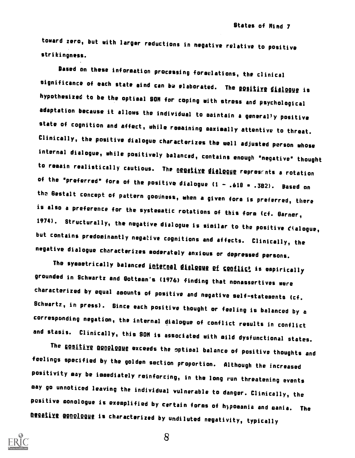toward zero, but with larger reductions in negative relative to positive strikingness.

Based on these inforsation processing foraelations, the clinical significance of each state aind can be elaborated. The gositive dielogue is hypothesized to be the optimal SON for coping with stress and psychological adaptation because it allows the individual to maintain a general)y positive state of cognition and affect, while remaining maximally attentive to threat. Clinically, the positive dialogue characterizes the well adjusted person whose internal dialogue, while positively balanced, contains enough °negative' thought to remain realistically cautious. The negetive dielegue represents a rotation of the °preferred° fore of the positive dialogue (1 - .618 s .382). Based on tho Gestalt concept of pattern googness, when a given fors is preferred, there is also a preference for the systematic rotations of this form (cf. Garner, 1974). Structurally, the negative dialogue is similar to the positive eialogue, but contains predominantly negative cognitions and affects. Clinically, the negative dialogue characterizes moderately anxious or depressed persons.

The symmetrically balanced internal dislague of conflict is empirically grounded in Schwartz and Sottean's (1976) finding that nonassertives were characterized by equal amounts of positive and negative self-statements (cf. Schwartz, in press). Since each positive thought or feeling is balanced by <sup>a</sup> corresponding negation, the internal dialogue of conflict results in conflict and stasis. Clinically, this SON is associated with mild dysfunctional states.

The gositiye agoologue exceeds the optical balance of positive thoughts and feelings specified by the golden section proportion. Although the increased positivity may be immediately reinforcing, in the long run threatening events may go unnoticed leaving the individual vulnerable to danger. Clinically, the positive monologue is exemplified by certain forms of hypooania and mania. The negetiye @gnglpgue is characterized by undiluted negativity, typically

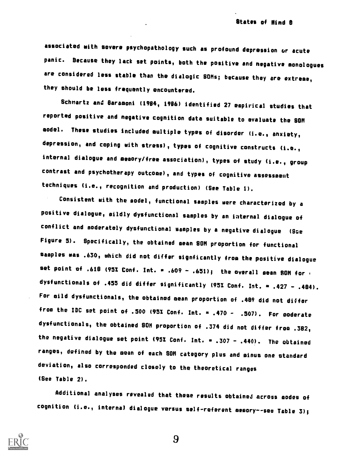associated with severe psychopathology such as profound depression or acute panic. Because they lack set points, both the positive and negative monologues are considered less stable than the dialogic SOMs; because they are extreae, they should be less frequently encountered.

Schnartz and Baramoni (1984, 1986) identified 27 empirical studies that reported positive and negative cognition data suitable to evaluate the SOM aodel. These studies included aultiple types of disorder (i.e., anxiety, depression, and coping with stress), types of cognitive constructs (i.e., internal dialogue and memory/free association), types of study (i.e., group contrast and psychotherapy outcome), and types of cognitive assessment techniques (i.e., recognition and production) (See Table 1).

Consistent with the aodel, functional sasples were characterized by a positive dialogue, aildly dysfunctional samples by an internal dialogue of conflict and aoderately dysfunctional samples by a negative dialogue (Sce Figure 5). Specifically, the obtained sean SOM proportion for functional sasples was .630, which did not differ signficantly from the positive dialogue set point of .618 (95% Conf. Int.  $\approx$  .609 - .651); the overall sean 80M for  $\cdot$ dysfunctionals of .455 did differ significantly (95% Conf. Int. = .427 - .484). For mild dysfunctionals, the obtained mean proportion of .489 did not differ from the IDC set point of .500 (95% Conf. Int.  $=$  .470 - .507). For eoderate dysfunctionals, the obtained 80M proportion of .374 did not differ from .382, the negative dialogue set point (95% Conf. Int. = .307 - .440). The obtained ranges, defined by the mean of each 80M category plus and minus one standard deviation, also corresponded closely to the theoretical ranges (See Table 2).

Additional analyses revealed that these results obtained across modes of cognition (i.e., internal dialogue versus self-referent memory--see Table 3);

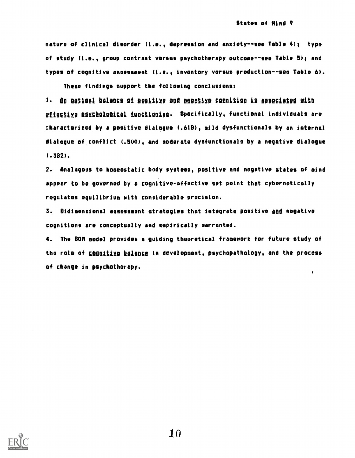$\blacksquare$ 

nature of clinical disorder (i.e., depression and anxiety--see Table 4); type of study (i.e., group contrast versus psychotherapy outcose--see Table 5); and types of cognitive assessment (i.e., inventory versus production--see Table 6).

These findings support the following conclusions:

1. An optigel belance of positive and negative counition is associated with gffgctive psychological functioning. Specifically, functional individuals are characterized by a positive dialogue (.618), mild dysfunctionals by an internal dialogue of conflict (.500), and coderate dysfunctionals by a negative dialogue  $(.382).$ 

2. Analagous to homeostatic body systems, positive and negative states of mind appear to be governed by a cognitive-affective set point that cybernetically regulates equilibrium with considerable precision.

3. Bidiaensional assesseent strategies that integrate positive and negative cognitions are conceptually and eapirically warranted.

4. The SOM godel provides a guiding theoretical framesork for future study of the role of cognitive balance in development, psychopathology, and the process of change in psychotherapy.

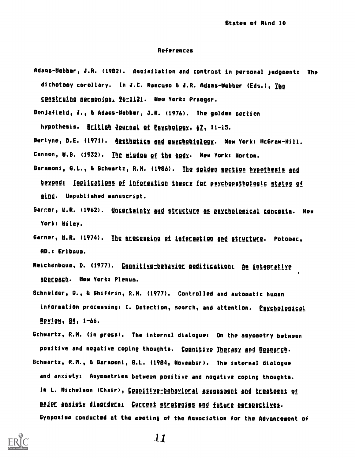#### References

Adams-Webber, J.R. (1982). Assiailation and contrast in personal judgment: The dichotomy corollary. In J.C. Mancuso & J.R. Adams-Webber (Eds.), The

SPOSICHING Decsoning, 96-112). New York: Praeger.

Benjafield, J., & Adams-Wabber, J.R. (1976). The golden section

hypothesis. British Journal of Paychology, 67, 11-15.

Berlyne, D.E. (1971). Aggibgiics and paychobiology. New York: McGraw-Hill.

Cannon, W.B. (1932). The winder of the body. New York: Norton.

- Garamoni, G.L., & Schwartz, R.M. (1986). The golden section hypothesis and beyondi leelications of information theory for psychopathologic states of eind. Unpublished manuscript.
- Garmer, W.R. (1962). Wheerteinty and structure as esychological concepts. New York: Wiley.
- Barner, M.R. (1974). Ihe processing of information and structure. Potomac, ND.: Erlbaua.
- Meichenbaum, D. (1977). Geenitivezbehavior modifications An intestative approach. New York: Plenua.
- Schneider, W., & Shiffrin, R.M. (1977). Controlled and automatic human information processing: I. Detection, mearch, and attention. Psychological Review. 84, 1-66.
- Schwartz, R.M. (in press). The internal dialogue: On the asyonetry between positive and negative coping thoughts. Cognitive Iberapy and Research. Schwartz, R.M., & Baramoni, B.L. (1984, November). The internal dialogue
- and anxiety: Asymmetries between positive and negative coping thoughts. In L. Michelson (Chair), Cognitive-behavioral assosseent and treaternt of @ejpc enxiety disprders: Current strategies and future perspectives. Syaposium conducted at the meeting of the Association for the Advancement of

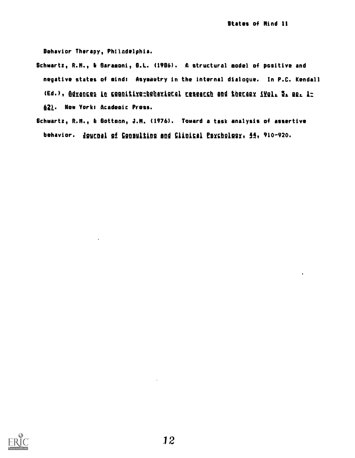$\mathbf{r}$ 

Behavior Therapy, Philadelphia.

- Schwartz, R.M., & Saramoni, G.L. (1986). A structural model of positive and negative states of mind: Asymaetry in the internal dialogue. In P.C. Kendall (Ed.), Advances in coanitive-behavioral research and therapy 1901, 5, ee, 1-62). New York: Academic Press.
- Schwartz, R.H., & Bottman, J.H. (1976). Toward a task analysis of assertive behavior. <u>Journal of Consulting and Clinical Psychology</u>, 44, 910-920.

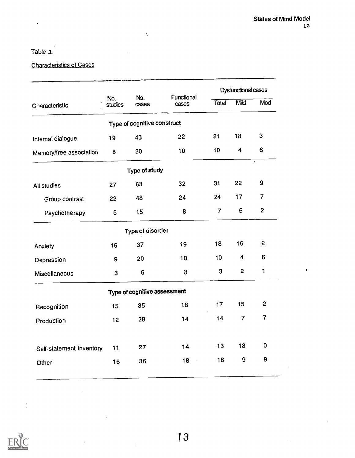#### Table 1.

 $\ddot{\phantom{1}}$ 

#### Characteristics of Cases

|                          |                |                              |                     | Dysfunctional cases |                         |                  |
|--------------------------|----------------|------------------------------|---------------------|---------------------|-------------------------|------------------|
| Characteristic           | No.<br>studies | No.<br>cases                 | Functional<br>cases | Total               | Mild                    | Mod              |
|                          |                | Type of cognitive construct  |                     |                     |                         |                  |
| Internal dialogue        | 19             | 43                           | 22                  | 21                  | 18                      | 3                |
| Memory/free association  | 8              | 20                           | 10                  | 10                  | $\overline{\mathbf{4}}$ | 6                |
|                          |                | Type of study                |                     |                     |                         | $\bullet$        |
| All studies              | 27             | 63                           | 32                  | 31                  | 22                      | $\boldsymbol{9}$ |
| Group contrast           | 22             | 48                           | 24                  | 24                  | 17                      | $\overline{7}$   |
| Psychotherapy            | 5              | 15                           | 8                   | $\overline{7}$      | 5                       | $\overline{c}$   |
|                          |                | Type of disorder             |                     |                     |                         |                  |
| Anxiety                  | 16             | 37                           | 19                  | 18                  | 16                      | $\mathbf{2}$     |
| Depression               | 9              | 20                           | 10                  | 10                  | 4                       | 6                |
| Miscellaneous            | 3              | 6                            | 3                   | 3                   | $\mathbf{2}$            | $\mathbf{1}$     |
|                          |                | Type of cognitive assessment |                     |                     |                         |                  |
| Recognition              | 15             | 35                           | 18                  | 17                  | 15                      | $\mathbf{2}$     |
| Production               | 12             | 28                           | 14                  | 14                  | $\overline{7}$          | $\overline{7}$   |
|                          |                |                              |                     |                     |                         |                  |
| Self-statement inventory | 11             | 27                           | 14                  | 13                  | 13                      | 0                |
| Other                    | 16             | 36                           | 18<br>$\sim$        | 18                  | 9                       | 9                |
|                          |                |                              |                     |                     |                         |                  |

 $\bar{\chi}$ 

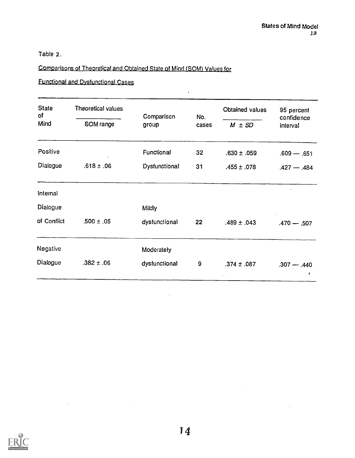$\overline{\phantom{a}}$ 

#### Table 2.

#### Comparisons of Theoretical and Obtained State of Mind (SOM) Values for

#### functional and Dysfunctional Cases

| <b>State</b><br>оf | Theoretical values | Comparison    | No.   | Obtained values | 95 percent<br>confidence |
|--------------------|--------------------|---------------|-------|-----------------|--------------------------|
| Mind               | SOM range          | group         | cases | $M \pm SD$      | interval                 |
| Positive           |                    | Functional    | 32    | $.630 \pm .059$ | $.609 - .651$            |
| Dialogue           | $.618 \pm .06$     | Dysfunctional | 31    | $.455 \pm .078$ | $.427 - .484$            |
| Internal           |                    |               |       |                 |                          |
| Dialogue           |                    | Mildly        |       |                 |                          |
| of Conflict        | $.500 \pm .05$     | dysfunctional | 22    | $.489 \pm .043$ | $.470 - .507$            |
| <b>Negative</b>    |                    | Moderately    |       |                 |                          |
| Dialogue           | $.382 \pm .06$     | dysfunctional | 9     | $.374 \pm .087$ | $.307 - .440$<br>1       |

 $\ddot{\phantom{a}}$ 



 $\ddot{\phantom{a}}$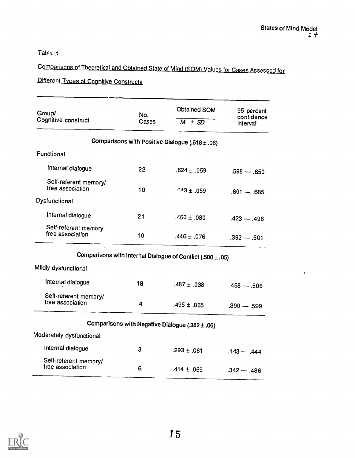$\mathbf{I}$ .

Table 3

#### risons of Theoretical and Obtained State of Mind (SOM) Values for Cases Assessed for

#### pifferent Types of Cognitive Constructs

| Group/<br>No.<br>confidence<br>Cognitive construct<br>Cases<br>M.<br>$±$ SD<br>interval<br>Comparisons with Positive Dialogue (.618 $\pm$ .06)<br>Functional<br>Internal dialogue<br>22 <sub>2</sub><br>$.624 \pm .059$<br>$.598 - .650$<br>Self-referent memory/<br>free association<br>10 <sub>1</sub><br>$0.43 \pm .059$<br>$.601 - .685$<br>Dysfunctional<br>Internal dialogue<br>21<br>$.460 \pm .080$<br>$.423 - .496$ |
|------------------------------------------------------------------------------------------------------------------------------------------------------------------------------------------------------------------------------------------------------------------------------------------------------------------------------------------------------------------------------------------------------------------------------|
|                                                                                                                                                                                                                                                                                                                                                                                                                              |
|                                                                                                                                                                                                                                                                                                                                                                                                                              |
|                                                                                                                                                                                                                                                                                                                                                                                                                              |
|                                                                                                                                                                                                                                                                                                                                                                                                                              |
|                                                                                                                                                                                                                                                                                                                                                                                                                              |
|                                                                                                                                                                                                                                                                                                                                                                                                                              |
|                                                                                                                                                                                                                                                                                                                                                                                                                              |
| Self-referent memory<br>free association<br>10<br>$.446 \pm .076$<br>$.392 - .501$                                                                                                                                                                                                                                                                                                                                           |
| Comparisons with Internal Dialogue of Conflict (.500 $\pm$ .05)                                                                                                                                                                                                                                                                                                                                                              |
| Mildly dysfunctional                                                                                                                                                                                                                                                                                                                                                                                                         |
| Internal dialogue<br>18<br>$.487 \pm .038$<br>$.468 - .506$                                                                                                                                                                                                                                                                                                                                                                  |
| Self-referent memory/<br>free association<br>$\overline{\mathbf{4}}$<br>$.495 \pm .065$<br>$.390 - .599$                                                                                                                                                                                                                                                                                                                     |
| Comparisons with Negative Dialogue $(.382 \pm .06)$                                                                                                                                                                                                                                                                                                                                                                          |
| Moderately dysfunctional                                                                                                                                                                                                                                                                                                                                                                                                     |
| Internal dialogue<br>3<br>$.293 \pm .061$<br>$.143 - .444$                                                                                                                                                                                                                                                                                                                                                                   |
| Self-referent memory/<br>free association<br>6<br>$.414 \pm .069$<br>$.342 - .486$                                                                                                                                                                                                                                                                                                                                           |

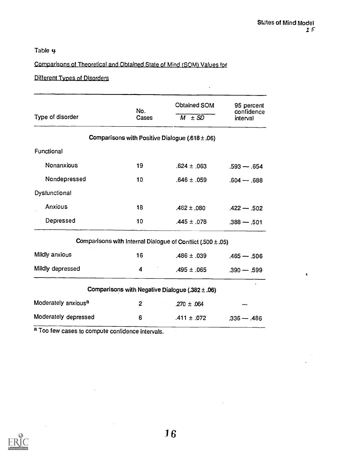$\pmb{\mathsf{s}}$ 

Table  $4$ 

#### Comparisons of Theoretical and Obtained State of Mind (SOM) Values for

 $\ddot{\phantom{0}}$ 

#### Different Types of Disorders

| No.<br>$M \pm SD$<br>Cases<br>interval<br>Comparisons with Positive Dialogue (.618 $\pm$ .06)<br>Nonanxious<br>19<br>$.624 \pm .063$<br>Nondepressed<br>10 <sub>1</sub><br>$.646 \pm .059$<br>Anxious<br>18<br>$.462 \pm .080$<br>Depressed<br>10<br>$.445 \pm .078$<br>Comparisons with Internal Dialogue of Conflict (.500 $\pm$ .05)<br>16<br>$.486 \pm .039$<br>4<br>$.495 \pm .065$<br>Comparisons with Negative Dialogue (.382 $\pm$ .06) |                                 | Obtained SOM | 95 percent    |  |
|-------------------------------------------------------------------------------------------------------------------------------------------------------------------------------------------------------------------------------------------------------------------------------------------------------------------------------------------------------------------------------------------------------------------------------------------------|---------------------------------|--------------|---------------|--|
|                                                                                                                                                                                                                                                                                                                                                                                                                                                 | Type of disorder                |              | confidence    |  |
|                                                                                                                                                                                                                                                                                                                                                                                                                                                 |                                 |              |               |  |
|                                                                                                                                                                                                                                                                                                                                                                                                                                                 | Functional                      |              |               |  |
|                                                                                                                                                                                                                                                                                                                                                                                                                                                 |                                 |              | $.593 - .654$ |  |
|                                                                                                                                                                                                                                                                                                                                                                                                                                                 |                                 |              | $.604 - .688$ |  |
|                                                                                                                                                                                                                                                                                                                                                                                                                                                 | Dysfunctional                   |              |               |  |
|                                                                                                                                                                                                                                                                                                                                                                                                                                                 |                                 |              | $.422 - .502$ |  |
|                                                                                                                                                                                                                                                                                                                                                                                                                                                 |                                 |              | $.388 - .501$ |  |
|                                                                                                                                                                                                                                                                                                                                                                                                                                                 |                                 |              |               |  |
|                                                                                                                                                                                                                                                                                                                                                                                                                                                 | Mildly anxious                  |              | $.465 - .506$ |  |
|                                                                                                                                                                                                                                                                                                                                                                                                                                                 | Mildly depressed                |              | $.390 - .599$ |  |
|                                                                                                                                                                                                                                                                                                                                                                                                                                                 |                                 |              |               |  |
| $\mathbf{2}$<br>.270 $\pm$ .064                                                                                                                                                                                                                                                                                                                                                                                                                 | Moderately anxious <sup>a</sup> |              |               |  |
| 6<br>$.411 \pm .072$                                                                                                                                                                                                                                                                                                                                                                                                                            | Moderately depressed            |              | $.336 - .486$ |  |

a Too few cases to compute confidence intervals.

 $\hat{\mathcal{A}}$ 



 $\sim 10^6$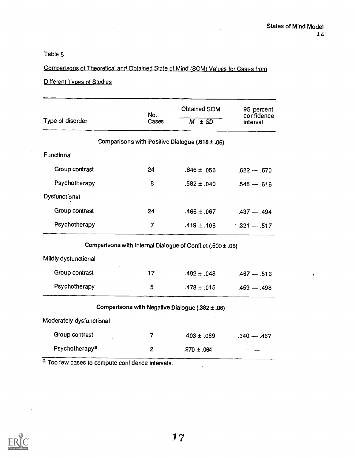$\bullet$ 

 $\bar{z}$ 

Table 5

 $\sim$   $\sim$ 

#### Comparisons of Theoretical and Obtained State of Mind (SOM) Values for Cases from

#### Different Types of Studies

 $\ddot{\phantom{a}}$ 

|                            | No.<br>Cases   | Obtained SOM                                                | 95 percent<br>confidence |
|----------------------------|----------------|-------------------------------------------------------------|--------------------------|
| Type of disorder           |                | $M \pm SD$                                                  | interval                 |
|                            |                | Comparisons with Positive Dialogue (.618 $\pm$ .06)         |                          |
| Functional                 |                |                                                             |                          |
| Group contrast             | 24             | $.646 \pm .056$                                             | $.622 - .670$            |
| Psychotherapy              | 8              | $.582 \pm .040$                                             | $.548 - .616$            |
| Dysfunctional              |                |                                                             |                          |
| Group contrast             | 24             | $.466 \pm .067$                                             | $.437 - .494$            |
| Psychotherapy              | $\overline{7}$ | $.419 \pm .106$                                             | $321 - 0.517$            |
|                            |                | Comparisons with Internal Dialogue of Conflict (.500 ± .05) |                          |
| Mildly dysfunctional       |                |                                                             |                          |
| Group contrast             | 17             | $.492 \pm .048$                                             | $.467 - .516$            |
| Psychotherapy              | 5              | $.478 \pm .015$                                             | $.459 - .498$            |
|                            |                | Comparisons with Negative Dialogue (.382 $\pm$ .06)         |                          |
| Moderately dysfunctional   |                |                                                             |                          |
| Group contrast             | 7              | $.403 \pm .069$                                             | $.340 - .467$            |
| Psychotherapy <sup>a</sup> | $\overline{c}$ | $270 \pm .064$                                              |                          |



 $\ddot{\phantom{1}}$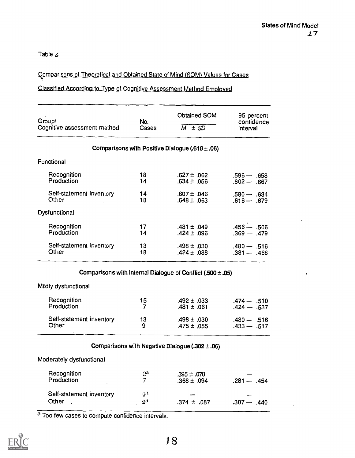Table  $\mathcal L$ 

#### Comparisons of Theoretical and Obtained State of Mind (SOM) Values for Cases

#### Classified According to Type of Cognitive Assessment Method Employed

| Group/<br>Cognitive assessment method    | No.<br>Cases         | <b>Obtained SOM</b><br>$M \pm SD$                               | 95 percent<br>confidence<br>interval |
|------------------------------------------|----------------------|-----------------------------------------------------------------|--------------------------------------|
|                                          |                      | Comparisons with Positive Dialogue (.618 $\pm$ .06)             |                                      |
| Functional                               |                      |                                                                 |                                      |
| Recognition<br>Production                | 18<br>14             | .627 ± .062<br>$.634 \pm .056$                                  | $.596 - .658$<br>$.602 - .667$       |
| Self-statement inventory<br><b>Other</b> | 14<br>18             | $.607 \pm .046$<br>$.648 \pm .063$                              | $.580 - .634$<br>$.616 - .679$       |
| Dysfunctional                            |                      |                                                                 |                                      |
| Recognition<br>Production                | 17<br>14             | $.481 \pm .049$<br>$.424 \pm .096$                              | $.456 - .506$<br>$.369 - .479$       |
| Self-statement inventory<br>Other        | 13<br>18             | $.498 \pm .030$<br>$.424 \pm .088$                              | $.480 - .516$<br>$.381 - .468$       |
|                                          |                      | Comparisons with Internal Dialogue of Conflict (.500 $\pm$ .05) |                                      |
| Mildly dysfunctional                     |                      |                                                                 |                                      |
| Recognition<br>Production                | 15<br>7              | $.492 \pm .033$<br>$.481 \pm .061$                              | $.474 - .510$<br>$.424 - .537$       |
| Self-statement inventory<br>Other        | 13<br>9              | $.498 \pm .030$<br>.475 $\pm$ .055.                             | $.480 - .516$<br>$.433 - .517$       |
|                                          |                      | Comparisons with Negative Dialogue (.382 $\pm$ .06)             |                                      |
| Moderately dysfunctional                 |                      |                                                                 |                                      |
| Recognition<br>Production                | Sa<br>$\overline{7}$ | $.395 \pm .078$<br>$.368 \pm .094$                              | $.281 - .454$                        |
| Self-statement inventory                 | $\mathbb{G}^n$       |                                                                 |                                      |
| Other<br>$\mathcal{L}_{\mathrm{eff}}$    | 9ª                   | .374 $\pm$ .087                                                 | $.307 - .440$                        |

a Too few cases to compute confidence intervals.

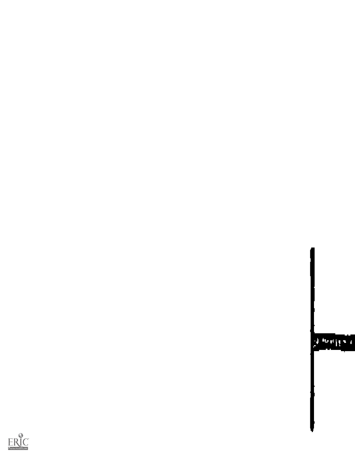

#### $\mathcal{F}$  in the  $\mathcal{F}$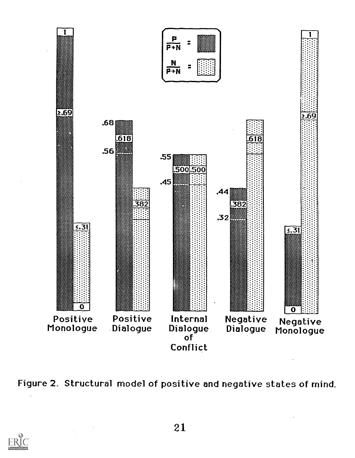

Figure 2. Structural model of positive and negative states of mind.

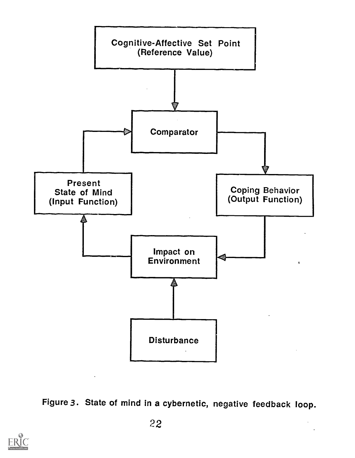



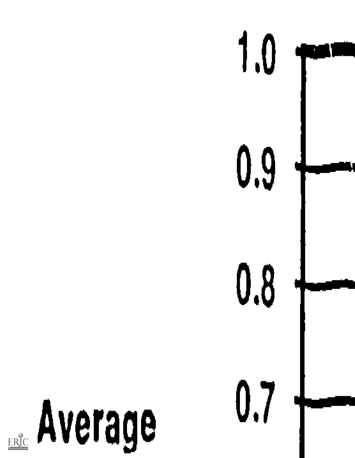

Average  $\boxed{\prod\limits_{\lambda_{\text{full set Proof of type}}}}$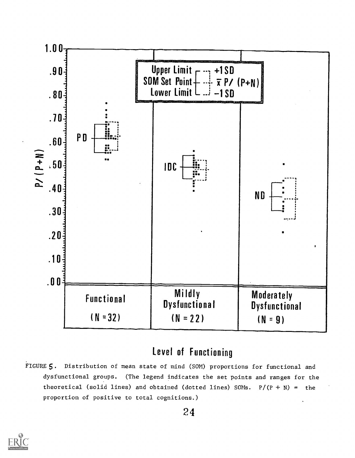

#### Level of Functioning

FIGURE S. Distribution of mean state of mind (SOM) proportions for functional and dysfunctional groups. (The legend indicates the set points and ranges for the theoretical (solid lines) and obtained (dotted lines) SOMs.  $P/(P + N) =$  the proportion of positive to total cognitions.)